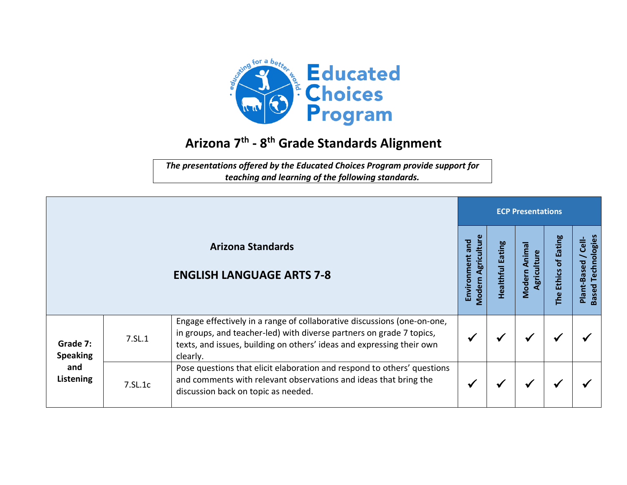

## **Arizona 7 th - 8 th Grade Standards Alignment**

*The presentations offered by the Educated Choices Program provide support for teaching and learning of the following standards.*

|                                                 |         |                                                                                                                                                                                                                                      | <b>ECP Presentations</b>                          |                     |                                 |                      |                                                              |  |  |
|-------------------------------------------------|---------|--------------------------------------------------------------------------------------------------------------------------------------------------------------------------------------------------------------------------------------|---------------------------------------------------|---------------------|---------------------------------|----------------------|--------------------------------------------------------------|--|--|
|                                                 |         | <b>Arizona Standards</b><br><b>ENGLISH LANGUAGE ARTS 7-8</b>                                                                                                                                                                         | Agricultur<br>and<br>Environment<br><b>Modern</b> | Eating<br>Healthful | Animal<br>Agriculture<br>Modern | The Ethics of Eating | Technologies<br>$\frac{1}{C}$<br>Plant-Based<br><b>Based</b> |  |  |
| Grade 7:<br><b>Speaking</b><br>and<br>Listening | 7.SL.1  | Engage effectively in a range of collaborative discussions (one-on-one,<br>in groups, and teacher-led) with diverse partners on grade 7 topics,<br>texts, and issues, building on others' ideas and expressing their own<br>clearly. |                                                   | ₩                   | ✔                               | ₩                    |                                                              |  |  |
|                                                 | 7.SL.1c | Pose questions that elicit elaboration and respond to others' questions<br>and comments with relevant observations and ideas that bring the<br>discussion back on topic as needed.                                                   |                                                   | √                   | ✔                               |                      |                                                              |  |  |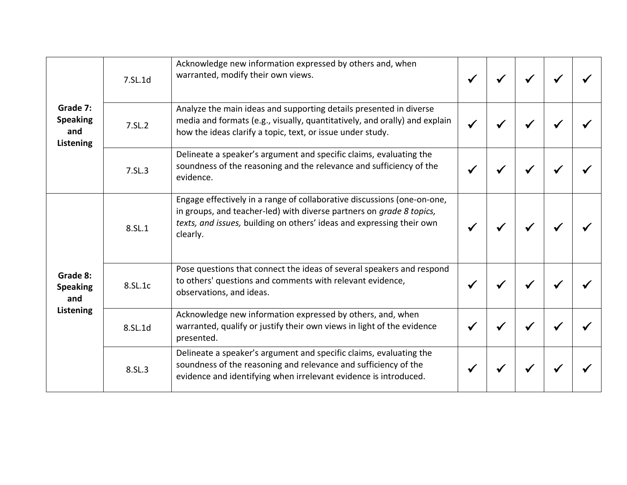| Grade 7:<br><b>Speaking</b><br>and<br>Listening | 7.SL.1d | Acknowledge new information expressed by others and, when<br>warranted, modify their own views.                                                                                                                                      |  |  |  |
|-------------------------------------------------|---------|--------------------------------------------------------------------------------------------------------------------------------------------------------------------------------------------------------------------------------------|--|--|--|
|                                                 | 7.SL.2  | Analyze the main ideas and supporting details presented in diverse<br>media and formats (e.g., visually, quantitatively, and orally) and explain<br>how the ideas clarify a topic, text, or issue under study.                       |  |  |  |
|                                                 | 7.SL.3  | Delineate a speaker's argument and specific claims, evaluating the<br>soundness of the reasoning and the relevance and sufficiency of the<br>evidence.                                                                               |  |  |  |
| Grade 8:<br><b>Speaking</b><br>and<br>Listening | 8.SL.1  | Engage effectively in a range of collaborative discussions (one-on-one,<br>in groups, and teacher-led) with diverse partners on grade 8 topics,<br>texts, and issues, building on others' ideas and expressing their own<br>clearly. |  |  |  |
|                                                 | 8.SL.1c | Pose questions that connect the ideas of several speakers and respond<br>to others' questions and comments with relevant evidence,<br>observations, and ideas.                                                                       |  |  |  |
|                                                 | 8.SL.1d | Acknowledge new information expressed by others, and, when<br>warranted, qualify or justify their own views in light of the evidence<br>presented.                                                                                   |  |  |  |
|                                                 | 8.SL.3  | Delineate a speaker's argument and specific claims, evaluating the<br>soundness of the reasoning and relevance and sufficiency of the<br>evidence and identifying when irrelevant evidence is introduced.                            |  |  |  |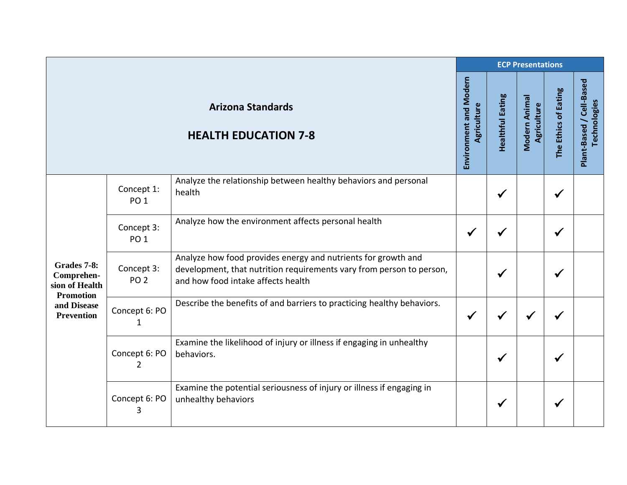|                                                                                                     |                                 |                                                                                                                                                                             | <b>ECP Presentations</b>              |                         |                              |                      |                                          |  |  |
|-----------------------------------------------------------------------------------------------------|---------------------------------|-----------------------------------------------------------------------------------------------------------------------------------------------------------------------------|---------------------------------------|-------------------------|------------------------------|----------------------|------------------------------------------|--|--|
|                                                                                                     |                                 | <b>Arizona Standards</b><br><b>HEALTH EDUCATION 7-8</b>                                                                                                                     | Environment and Modern<br>Agriculture | <b>Healthful Eating</b> | Modern Animal<br>Agriculture | The Ethics of Eating | Plant-Based / Cell-Based<br>Technologies |  |  |
| Grades 7-8:<br>Comprehen-<br>sion of Health<br><b>Promotion</b><br>and Disease<br><b>Prevention</b> | Concept 1:<br>PO <sub>1</sub>   | Analyze the relationship between healthy behaviors and personal<br>health                                                                                                   |                                       | $\checkmark$            |                              | $\checkmark$         |                                          |  |  |
|                                                                                                     | Concept 3:<br>PO <sub>1</sub>   | Analyze how the environment affects personal health                                                                                                                         | ✔                                     |                         |                              | $\checkmark$         |                                          |  |  |
|                                                                                                     | Concept 3:<br>PO <sub>2</sub>   | Analyze how food provides energy and nutrients for growth and<br>development, that nutrition requirements vary from person to person,<br>and how food intake affects health |                                       |                         |                              | ✔                    |                                          |  |  |
|                                                                                                     | Concept 6: PO<br>$\mathbf{1}$   | Describe the benefits of and barriers to practicing healthy behaviors.                                                                                                      | $\checkmark$                          |                         |                              |                      |                                          |  |  |
|                                                                                                     | Concept 6: PO<br>$\overline{2}$ | Examine the likelihood of injury or illness if engaging in unhealthy<br>behaviors.                                                                                          |                                       | ✔                       |                              | $\checkmark$         |                                          |  |  |
|                                                                                                     | Concept 6: PO<br>3              | Examine the potential seriousness of injury or illness if engaging in<br>unhealthy behaviors                                                                                |                                       |                         |                              | ✔                    |                                          |  |  |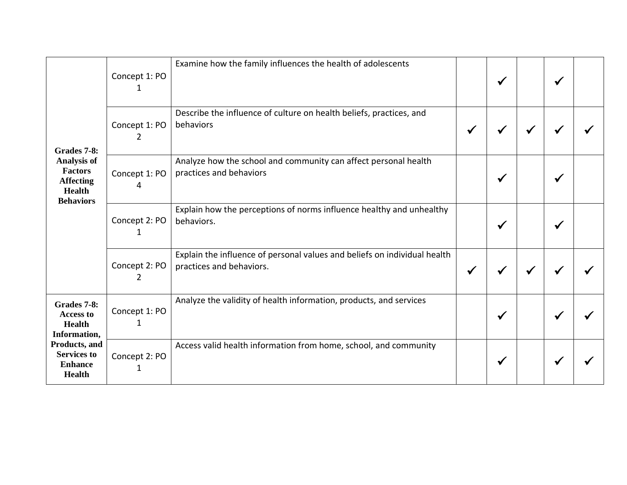| Grades 7-8:<br>Analysis of<br><b>Factors</b><br><b>Affecting</b><br><b>Health</b><br><b>Behaviors</b>                                      | Concept 1: PO      | Examine how the family influences the health of adolescents                                           |              | $\checkmark$ |   |   |  |
|--------------------------------------------------------------------------------------------------------------------------------------------|--------------------|-------------------------------------------------------------------------------------------------------|--------------|--------------|---|---|--|
|                                                                                                                                            | Concept 1: PO<br>2 | Describe the influence of culture on health beliefs, practices, and<br>behaviors                      | $\checkmark$ |              | ✔ |   |  |
|                                                                                                                                            | Concept 1: PO<br>4 | Analyze how the school and community can affect personal health<br>practices and behaviors            |              | ✔            |   |   |  |
|                                                                                                                                            | Concept 2: PO<br>1 | Explain how the perceptions of norms influence healthy and unhealthy<br>behaviors.                    |              | ✔            |   |   |  |
|                                                                                                                                            | Concept 2: PO<br>2 | Explain the influence of personal values and beliefs on individual health<br>practices and behaviors. | $\checkmark$ |              | ✔ |   |  |
| Grades 7-8:<br><b>Access to</b><br><b>Health</b><br>Information,<br>Products, and<br><b>Services to</b><br><b>Enhance</b><br><b>Health</b> | Concept 1: PO<br>1 | Analyze the validity of health information, products, and services                                    |              | ✔            |   | √ |  |
|                                                                                                                                            | Concept 2: PO<br>1 | Access valid health information from home, school, and community                                      |              | ✔            |   |   |  |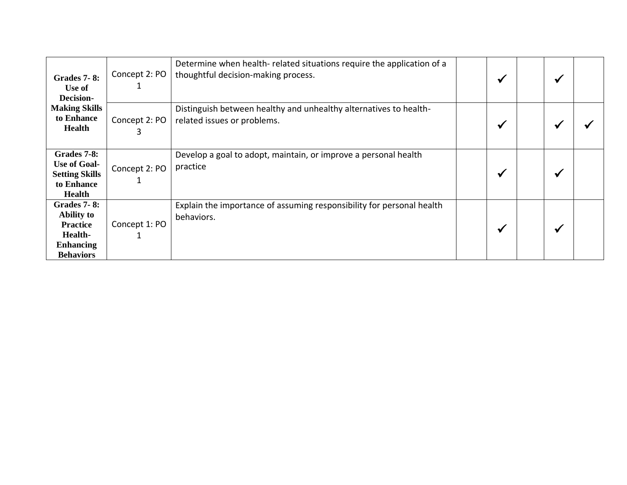| <b>Grades 7-8:</b><br>Use of<br>Decision-<br><b>Making Skills</b><br>to Enhance<br><b>Health</b>              | Concept 2: PO | Determine when health-related situations require the application of a<br>thoughtful decision-making process. | ₩ | ✔ |  |
|---------------------------------------------------------------------------------------------------------------|---------------|--------------------------------------------------------------------------------------------------------------|---|---|--|
|                                                                                                               | Concept 2: PO | Distinguish between healthy and unhealthy alternatives to health-<br>related issues or problems.             | ₩ |   |  |
| Grades 7-8:<br><b>Use of Goal-</b><br><b>Setting Skills</b><br>to Enhance<br><b>Health</b>                    | Concept 2: PO | Develop a goal to adopt, maintain, or improve a personal health<br>practice                                  | ✔ |   |  |
| <b>Grades 7-8:</b><br><b>Ability to</b><br><b>Practice</b><br>Health-<br><b>Enhancing</b><br><b>Behaviors</b> | Concept 1: PO | Explain the importance of assuming responsibility for personal health<br>behaviors.                          |   |   |  |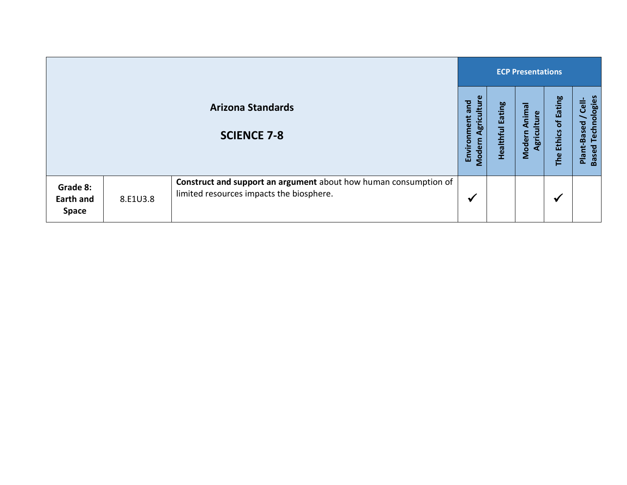|                                       |          |                                                                                                              | <b>ECP Presentations</b>                            |                                   |                                            |                            |                                                                                         |  |
|---------------------------------------|----------|--------------------------------------------------------------------------------------------------------------|-----------------------------------------------------|-----------------------------------|--------------------------------------------|----------------------------|-----------------------------------------------------------------------------------------|--|
|                                       |          | <b>Arizona Standards</b><br><b>SCIENCE 7-8</b>                                                               | ture<br>and<br>Environment<br>Agricı<br>Ξ.<br>Moder | <b>Eating</b><br><b>Healthful</b> | Animal<br><b>Iture</b><br>Modern<br>Agricu | of Eating<br>Ethics<br>The | Technologies<br><b>Cell-</b><br>$\overline{\phantom{0}}$<br>Plant-Based<br><b>Based</b> |  |
| Grade 8:<br>Earth and<br><b>Space</b> | 8.E1U3.8 | Construct and support an argument about how human consumption of<br>limited resources impacts the biosphere. | √                                                   |                                   |                                            | $\checkmark$               |                                                                                         |  |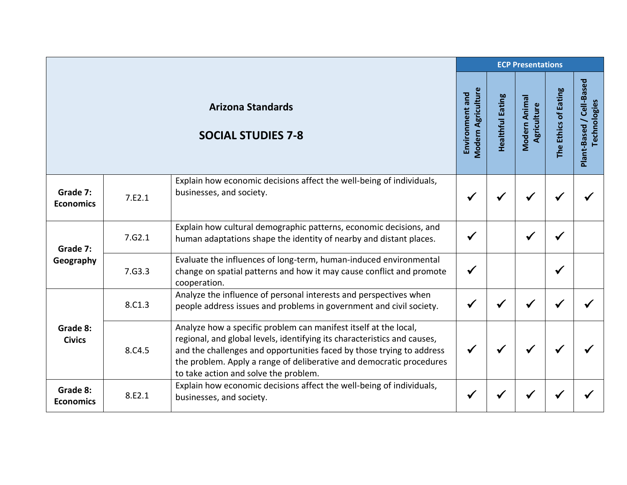|                              |        |                                                                                                                                                                                                                                                                                                                                        | <b>ECP Presentations</b>                     |                         |                              |                      |                                          |
|------------------------------|--------|----------------------------------------------------------------------------------------------------------------------------------------------------------------------------------------------------------------------------------------------------------------------------------------------------------------------------------------|----------------------------------------------|-------------------------|------------------------------|----------------------|------------------------------------------|
|                              |        | <b>Arizona Standards</b><br><b>SOCIAL STUDIES 7-8</b>                                                                                                                                                                                                                                                                                  | <b>Modern Agriculture</b><br>Environment and | <b>Healthful Eating</b> | Modern Animal<br>Agriculture | The Ethics of Eating | Plant-Based / Cell-Based<br>Technologies |
| Grade 7:<br><b>Economics</b> | 7.E2.1 | Explain how economic decisions affect the well-being of individuals,<br>businesses, and society.                                                                                                                                                                                                                                       | $\checkmark$                                 |                         |                              |                      |                                          |
| Grade 7:<br>Geography        | 7.62.1 | Explain how cultural demographic patterns, economic decisions, and<br>human adaptations shape the identity of nearby and distant places.                                                                                                                                                                                               | $\checkmark$                                 |                         |                              |                      |                                          |
|                              | 7.63.3 | Evaluate the influences of long-term, human-induced environmental<br>change on spatial patterns and how it may cause conflict and promote<br>cooperation.                                                                                                                                                                              | $\checkmark$                                 |                         |                              | ✔                    |                                          |
| Grade 8:<br><b>Civics</b>    | 8.C1.3 | Analyze the influence of personal interests and perspectives when<br>people address issues and problems in government and civil society.                                                                                                                                                                                               | $\checkmark$                                 | √                       |                              |                      |                                          |
|                              | 8.C4.5 | Analyze how a specific problem can manifest itself at the local,<br>regional, and global levels, identifying its characteristics and causes,<br>and the challenges and opportunities faced by those trying to address<br>the problem. Apply a range of deliberative and democratic procedures<br>to take action and solve the problem. | $\checkmark$                                 | ✔                       |                              |                      |                                          |
| Grade 8:<br><b>Economics</b> | 8.E2.1 | Explain how economic decisions affect the well-being of individuals,<br>businesses, and society.                                                                                                                                                                                                                                       | $\checkmark$                                 |                         |                              |                      |                                          |